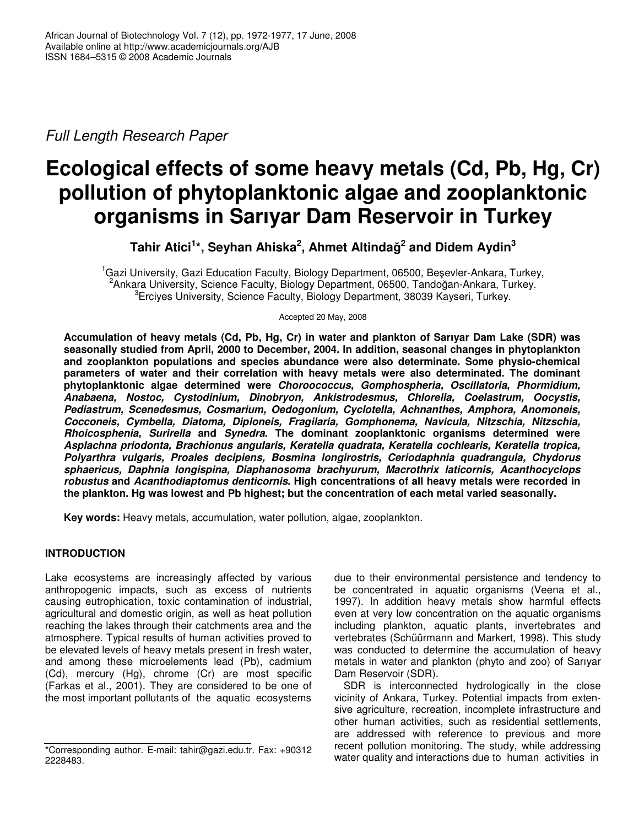*Full Length Research Paper*

# **Ecological effects of some heavy metals (Cd, Pb, Hg, Cr) pollution of phytoplanktonic algae and zooplanktonic organisms in Sarıyar Dam Reservoir in Turkey**

**Tahir Atici 1 \*, Seyhan Ahiska 2 , Ahmet Altinda 2 and Didem Aydin 3**

 $^1$ Gazi University, Gazi Education Faculty, Biology Department, 06500, Beşevler-Ankara, Turkey, <sup>2</sup>Ankara University, Science Faculty, Biology Department, 06500, Tandoğan-Ankara, Turkey. 3 Erciyes University, Science Faculty, Biology Department, 38039 Kayseri, Turkey.

Accepted 20 May, 2008

**Accumulation of heavy metals (Cd, Pb, Hg, Cr) in water and plankton of Sarıyar Dam Lake (SDR) was seasonally studied from April, 2000 to December, 2004. In addition, seasonal changes in phytoplankton and zooplankton populations and species abundance were also determinate. Some physio-chemical parameters of water and their correlation with heavy metals were also determinated. The dominant phytoplanktonic algae determined were** *Choroococcus, Gomphospheria, Oscillatoria, Phormidium, Anabaena, Nostoc, Cystodinium, Dinobryon, Ankistrodesmus, Chlorella, Coelastrum, Oocystis, Pediastrum, Scenedesmus, Cosmarium, Oedogonium, Cyclotella, Achnanthes, Amphora, Anomoneis, Cocconeis, Cymbella, Diatoma, Diploneis, Fragilaria, Gomphonema, Navicula, Nitzschia, Nitzschia, Rhoicosphenia, Surirella* **and** *Synedra***. The dominant zooplanktonic organisms determined were** *Asplachna priodonta, Brachionus angularis, Keratella quadrata, Keratella cochlearis, Keratella tropica, Polyarthra vulgaris, Proales decipiens, Bosmina longirostris, Ceriodaphnia quadrangula, Chydorus sphaericus, Daphnia longispina, Diaphanosoma brachyurum, Macrothrix laticornis, Acanthocyclops robustus* **and** *Acanthodiaptomus denticornis***. High concentrations of all heavy metals were recorded in the plankton. Hg was lowest and Pb highest; but the concentration of each metal varied seasonally.**

**Key words:** Heavy metals, accumulation, water pollution, algae, zooplankton.

## **INTRODUCTION**

Lake ecosystems are increasingly affected by various anthropogenic impacts, such as excess of nutrients causing eutrophication, toxic contamination of industrial, agricultural and domestic origin, as well as heat pollution reaching the lakes through their catchments area and the atmosphere. Typical results of human activities proved to be elevated levels of heavy metals present in fresh water, and among these microelements lead (Pb), cadmium (Cd), mercury (Hg), chrome (Cr) are most specific (Farkas et al., 2001). They are considered to be one of the most important pollutants of the aquatic ecosystems

due to their environmental persistence and tendency to be concentrated in aquatic organisms (Veena et al., 1997). In addition heavy metals show harmful effects even at very low concentration on the aquatic organisms including plankton, aquatic plants, invertebrates and vertebrates (Schüürmann and Markert, 1998). This study was conducted to determine the accumulation of heavy metals in water and plankton (phyto and zoo) of Sarıyar Dam Reservoir (SDR).

SDR is interconnected hydrologically in the close vicinity of Ankara, Turkey. Potential impacts from extensive agriculture, recreation, incomplete infrastructure and other human activities, such as residential settlements, are addressed with reference to previous and more recent pollution monitoring. The study, while addressing water quality and interactions due to human activities in

<sup>\*</sup>Corresponding author. E-mail: tahir@gazi.edu.tr. Fax: +90312 2228483.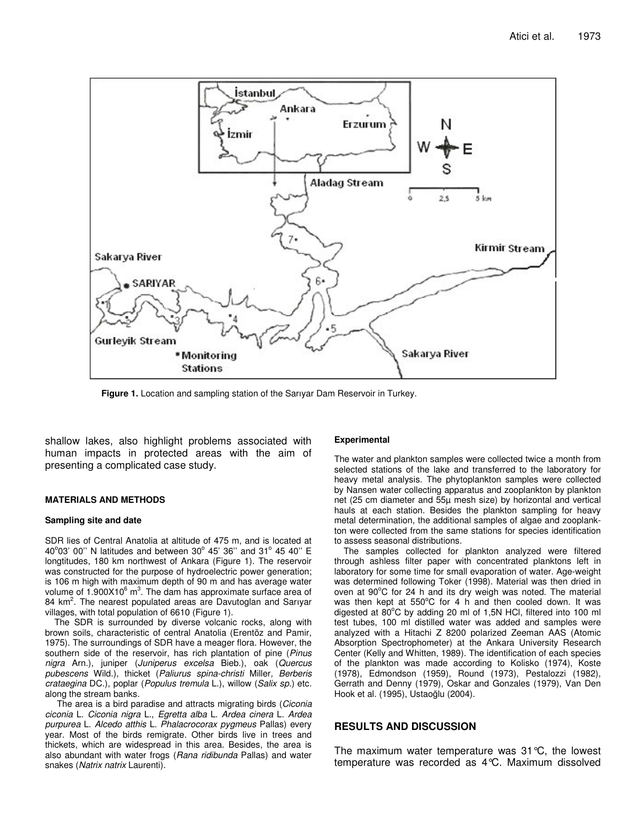

**Figure 1.** Location and sampling station of the Sarıyar Dam Reservoir in Turkey.

shallow lakes, also highlight problems associated with human impacts in protected areas with the aim of presenting a complicated case study.

### **MATERIALS AND METHODS**

### **Sampling site and date**

SDR lies of Central Anatolia at altitude of 475 m, and is located at 40 $^{\circ}$ 03' 00" N latitudes and between 30 $^{\circ}$  45' 36" and 31 $^{\circ}$  45 40" E longtitudes, 180 km northwest of Ankara (Figure 1). The reservoir was constructed for the purpose of hydroelectric power generation; is 106 m high with maximum depth of 90 m and has average water volume of 1.900X10<sup>6</sup> m<sup>3</sup>. The dam has approximate surface area of 84 km<sup>2</sup>. The nearest populated areas are Davutoglan and Sarıyar villages, with total population of 6610 (Figure 1).

The SDR is surrounded by diverse volcanic rocks, along with brown soils, characteristic of central Anatolia (Erentöz and Pamir, 1975). The surroundings of SDR have a meager flora. However, the southern side of the reservoir, has rich plantation of pine (*Pinus nigra* Arn.), juniper (*Juniperus excelsa* Bieb.), oak (*Quercus pubescens* Wild.), thicket (*Paliurus spina-christi* Miller*, Berberis crataegina* DC.), poplar (*Populus tremula* L.), willow (*Salix sp.*) etc. along the stream banks.

The area is a bird paradise and attracts migrating birds (*Ciconia ciconia* L. *Ciconia nigra* L., *Egretta alba* L. *Ardea cinera* L. *Ardea purpurea* L. *Alcedo atthis* L. *Phalacrocorax pygmeus* Pallas) every year. Most of the birds remigrate. Other birds live in trees and thickets, which are widespread in this area. Besides, the area is also abundant with water frogs (*Rana ridibunda* Pallas) and water snakes (*Natrix natrix* Laurenti).

#### **Experimental**

The water and plankton samples were collected twice a month from selected stations of the lake and transferred to the laboratory for heavy metal analysis. The phytoplankton samples were collected by Nansen water collecting apparatus and zooplankton by plankton net (25 cm diameter and 55µ mesh size) by horizontal and vertical hauls at each station. Besides the plankton sampling for heavy metal determination, the additional samples of algae and zooplankton were collected from the same stations for species identification to assess seasonal distributions.

The samples collected for plankton analyzed were filtered through ashless filter paper with concentrated planktons left in laboratory for some time for small evaporation of water. Age-weight was determined following Toker (1998). Material was then dried in oven at 90°C for 24 h and its dry weigh was noted. The material was then kept at 550°C for 4 h and then cooled down. It was digested at  $80^{\circ}$ C by adding 20 ml of 1,5N HCl, filtered into 100 ml test tubes, 100 ml distilled water was added and samples were analyzed with a Hitachi Z 8200 polarized Zeeman AAS (Atomic Absorption Spectrophometer) at the Ankara University Research Center (Kelly and Whitten, 1989). The identification of each species of the plankton was made according to Kolisko (1974), Koste (1978), Edmondson (1959), Round (1973), Pestalozzi (1982), Gerrath and Denny (1979), Oskar and Gonzales (1979), Van Den Hook et al. (1995), Ustaoğlu (2004).

## **RESULTS AND DISCUSSION**

The maximum water temperature was 31°C, the lowest temperature was recorded as 4°C. Maximum dissolved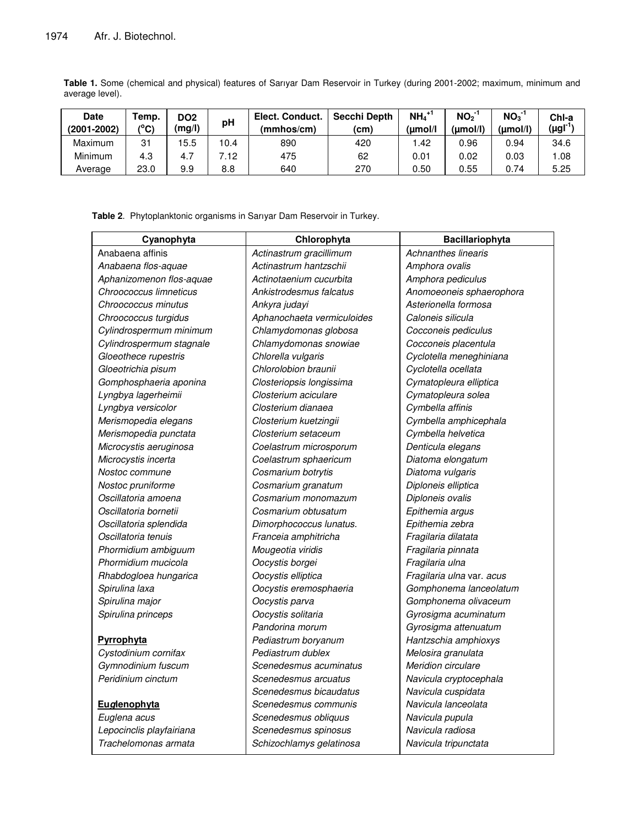**Table 1.** Some (chemical and physical) features of Sarıyar Dam Reservoir in Turkey (during 2001-2002; maximum, minimum and average level).

| Date<br>(2001-2002) | Temp.<br>(°C) | DO <sub>2</sub><br>(mg/l) | рH   | Elect. Conduct.<br>(mmhos/cm) | <b>Secchi Depth</b><br>(cm) | $NH4+1$<br>(umol/l | NO <sub>2</sub><br>(umol/l) | NO <sub>3</sub><br>(µmol/l) | Chl-a<br>$(\mu g \Gamma)$ |
|---------------------|---------------|---------------------------|------|-------------------------------|-----------------------------|--------------------|-----------------------------|-----------------------------|---------------------------|
| <b>Maximum</b>      | 31            | 15.5                      | 10.4 | 890                           | 420                         | .42                | 0.96                        | 0.94                        | 34.6                      |
| Minimum             | 4.3           | 4.7                       | 7.12 | 475                           | 62                          | 0.01               | 0.02                        | 0.03                        | .08                       |
| Average             | 23.0          | 9.9                       | 8.8  | 640                           | 270                         | 0.50               | 0.55                        | 0.74                        | 5.25                      |

**Table 2**. Phytoplanktonic organisms in Sarıyar Dam Reservoir in Turkey.

| Cyanophyta               | Chlorophyta                | Bacillariophyta           |  |  |
|--------------------------|----------------------------|---------------------------|--|--|
| Anabaena affinis         | Actinastrum gracillimum    | Achnanthes linearis       |  |  |
| Anabaena flos-aquae      | Actinastrum hantzschii     | Amphora ovalis            |  |  |
| Aphanizomenon flos-aquae | Actinotaenium cucurbita    | Amphora pediculus         |  |  |
| Chroococcus limneticus   | Ankistrodesmus falcatus    | Anomoeoneis sphaerophora  |  |  |
| Chroococcus minutus      | Ankyra judayi              | Asterionella formosa      |  |  |
| Chroococcus turgidus     | Aphanochaeta vermiculoides | Caloneis silicula         |  |  |
| Cylindrospermum minimum  | Chlamydomonas globosa      | Cocconeis pediculus       |  |  |
| Cylindrospermum stagnale | Chlamydomonas snowiae      | Cocconeis placentula      |  |  |
| Gloeothece rupestris     | Chlorella vulgaris         | Cyclotella meneghiniana   |  |  |
| Gloeotrichia pisum       | Chlorolobion braunii       | Cyclotella ocellata       |  |  |
| Gomphosphaeria aponina   | Closteriopsis longissima   | Cymatopleura elliptica    |  |  |
| Lyngbya lagerheimii      | Closterium aciculare       | Cymatopleura solea        |  |  |
| Lyngbya versicolor       | Closterium dianaea         | Cymbella affinis          |  |  |
| Merismopedia elegans     | Closterium kuetzingii      | Cymbella amphicephala     |  |  |
| Merismopedia punctata    | Closterium setaceum        | Cymbella helvetica        |  |  |
| Microcystis aeruginosa   | Coelastrum microsporum     | Denticula elegans         |  |  |
| Microcystis incerta      | Coelastrum sphaericum      | Diatoma elongatum         |  |  |
| Nostoc commune           | Cosmarium botrytis         | Diatoma vulgaris          |  |  |
| Nostoc pruniforme        | Cosmarium granatum         | Diploneis elliptica       |  |  |
| Oscillatoria amoena      | Cosmarium monomazum        | Diploneis ovalis          |  |  |
| Oscillatoria bornetii    | Cosmarium obtusatum        | Epithemia argus           |  |  |
| Oscillatoria splendida   | Dimorphococcus lunatus.    | Epithemia zebra           |  |  |
| Oscillatoria tenuis      | Franceia amphitricha       | Fragilaria dilatata       |  |  |
| Phormidium ambiguum      | Mougeotia viridis          | Fragilaria pinnata        |  |  |
| Phormidium mucicola      | Oocystis borgei            | Fragilaria ulna           |  |  |
| Rhabdogloea hungarica    | Oocystis elliptica         | Fragilaria ulna var. acus |  |  |
| Spirulina laxa           | Oocystis eremosphaeria     | Gomphonema lanceolatum    |  |  |
| Spirulina major          | Oocystis parva             | Gomphonema olivaceum      |  |  |
| Spirulina princeps       | Oocystis solitaria         | Gyrosigma acuminatum      |  |  |
|                          | Pandorina morum            | Gyrosigma attenuatum      |  |  |
| Pyrrophyta               | Pediastrum boryanum        | Hantzschia amphioxys      |  |  |
| Cystodinium cornifax     | Pediastrum dublex          | Melosira granulata        |  |  |
| Gymnodinium fuscum       | Scenedesmus acuminatus     | Meridion circulare        |  |  |
| Peridinium cinctum       | Scenedesmus arcuatus       | Navicula cryptocephala    |  |  |
|                          | Scenedesmus bicaudatus     | Navicula cuspidata        |  |  |
| <b>Euglenophyta</b>      | Scenedesmus communis       | Navicula lanceolata       |  |  |
| Euglena acus             | Scenedesmus obliquus       | Navicula pupula           |  |  |
| Lepocinclis playfairiana | Scenedesmus spinosus       | Navicula radiosa          |  |  |
| Trachelomonas armata     | Schizochlamys gelatinosa   | Navicula tripunctata      |  |  |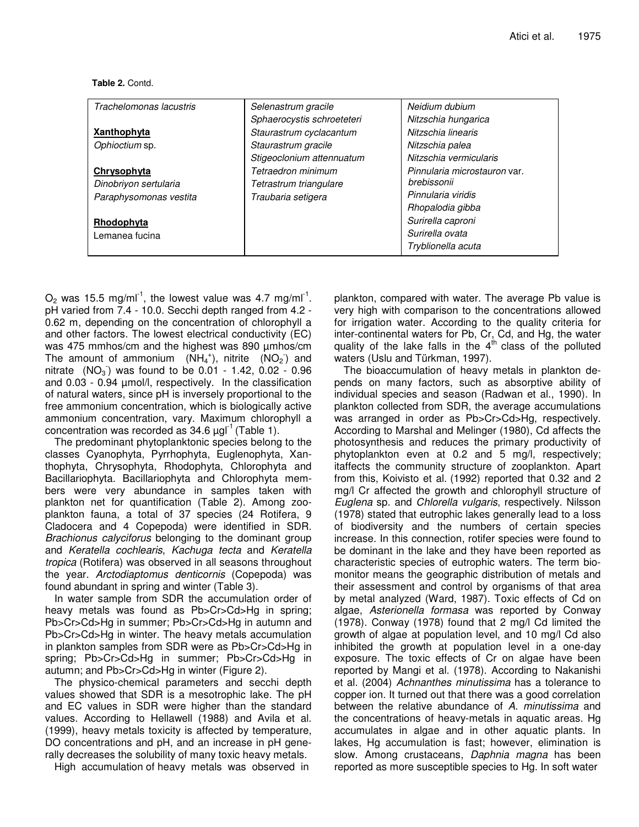|  |  | Table 2. Contd. |
|--|--|-----------------|
|--|--|-----------------|

| Trachelomonas lacustris | Selenastrum gracile        | Neidium dubium               |  |  |
|-------------------------|----------------------------|------------------------------|--|--|
|                         | Sphaerocystis schroeteteri | Nitzschia hungarica          |  |  |
| Xanthophyta             | Staurastrum cyclacantum    | Nitzschia linearis           |  |  |
| Ophioctium sp.          | Staurastrum gracile        | Nitzschia palea              |  |  |
|                         | Stigeoclonium attennuatum  | Nitzschia vermicularis       |  |  |
| <b>Chrysophyta</b>      | Tetraedron minimum         | Pinnularia microstauron var. |  |  |
| Dinobriyon sertularia   | Tetrastrum triangulare     | brebissonii                  |  |  |
| Paraphysomonas vestita  | Traubaria setigera         | Pinnularia viridis           |  |  |
|                         |                            | Rhopalodia gibba             |  |  |
| Rhodophyta              |                            | Surirella caproni            |  |  |
| Lemanea fucina          |                            | Surirella ovata              |  |  |
|                         |                            | Tryblionella acuta           |  |  |

 $O_2$  was 15.5 mg/ml<sup>-1</sup>, the lowest value was 4.7 mg/ml<sup>-1</sup>. pH varied from 7.4 - 10.0. Secchi depth ranged from 4.2 - 0.62 m, depending on the concentration of chlorophyll a and other factors. The lowest electrical conductivity (EC) was 475 mmhos/cm and the highest was 890 µmhos/cm The amount of ammonium  $(NH_4^+)$ , nitrite  $(NO_2)$  and nitrate  $(NO_3)$  was found to be 0.01 - 1.42, 0.02 - 0.96 and 0.03 - 0.94 µmol/l, respectively. In the classification of natural waters, since pH is inversely proportional to the free ammonium concentration, which is biologically active ammonium concentration, vary. Maximum chlorophyll a concentration was recorded as  $34.6 \,\mathrm{\mu g l}^{-1}$  (Table 1).

The predominant phytoplanktonic species belong to the classes Cyanophyta, Pyrrhophyta, Euglenophyta, Xanthophyta, Chrysophyta, Rhodophyta, Chlorophyta and Bacillariophyta. Bacillariophyta and Chlorophyta members were very abundance in samples taken with plankton net for quantification (Table 2). Among zooplankton fauna, a total of 37 species (24 Rotifera, 9 Cladocera and 4 Copepoda) were identified in SDR. *Brachionus calyciforus* belonging to the dominant group and *Keratella cochlearis*, *Kachuga tecta* and *Keratella tropica* (Rotifera) was observed in all seasons throughout the year. *Arctodiaptomus denticornis* (Copepoda) was found abundant in spring and winter (Table 3).

In water sample from SDR the accumulation order of heavy metals was found as Pb>Cr>Cd>Hg in spring; Pb>Cr>Cd>Hg in summer; Pb>Cr>Cd>Hg in autumn and Pb>Cr>Cd>Hg in winter. The heavy metals accumulation in plankton samples from SDR were as Pb>Cr>Cd>Hg in spring; Pb>Cr>Cd>Hg in summer; Pb>Cr>Cd>Hg in autumn; and Pb>Cr>Cd>Hg in winter (Figure 2).

The physico-chemical parameters and secchi depth values showed that SDR is a mesotrophic lake. The pH and EC values in SDR were higher than the standard values. According to Hellawell (1988) and Avila et al. (1999), heavy metals toxicity is affected by temperature, DO concentrations and pH, and an increase in pH generally decreases the solubility of many toxic heavy metals.

High accumulation of heavy metals was observed in

plankton, compared with water. The average Pb value is very high with comparison to the concentrations allowed for irrigation water. According to the quality criteria for inter-continental waters for Pb, Cr, Cd, and Hg, the water quality of the lake falls in the  $4<sup>th</sup>$  class of the polluted waters (Uslu and Türkman, 1997).

The bioaccumulation of heavy metals in plankton depends on many factors, such as absorptive ability of individual species and season (Radwan et al., 1990). In plankton collected from SDR, the average accumulations was arranged in order as Pb>Cr>Cd>Hg, respectively. According to Marshal and Melinger (1980), Cd affects the photosynthesis and reduces the primary productivity of phytoplankton even at 0.2 and 5 mg/l, respectively; itaffects the community structure of zooplankton. Apart from this, Koivisto et al. (1992) reported that 0.32 and 2 mg/l Cr affected the growth and chlorophyll structure of *Euglena* sp. and *Chlorella vulgaris*, respectively. Nilsson (1978) stated that eutrophic lakes generally lead to a loss of biodiversity and the numbers of certain species increase. In this connection, rotifer species were found to be dominant in the lake and they have been reported as characteristic species of eutrophic waters. The term biomonitor means the geographic distribution of metals and their assessment and control by organisms of that area by metal analyzed (Ward, 1987). Toxic effects of Cd on algae, *Asterionella formasa* was reported by Conway (1978). Conway (1978) found that 2 mg/l Cd limited the growth of algae at population level, and 10 mg/l Cd also inhibited the growth at population level in a one-day exposure. The toxic effects of Cr on algae have been reported by Mangi et al. (1978). According to Nakanishi et al. (2004) *Achnanthes minutissima* has a tolerance to copper ion. It turned out that there was a good correlation between the relative abundance of *A. minutissima* and the concentrations of heavy-metals in aquatic areas. Hg accumulates in algae and in other aquatic plants. In lakes, Hg accumulation is fast; however, elimination is slow. Among crustaceans, *Daphnia magna* has been reported as more susceptible species to Hg. In soft water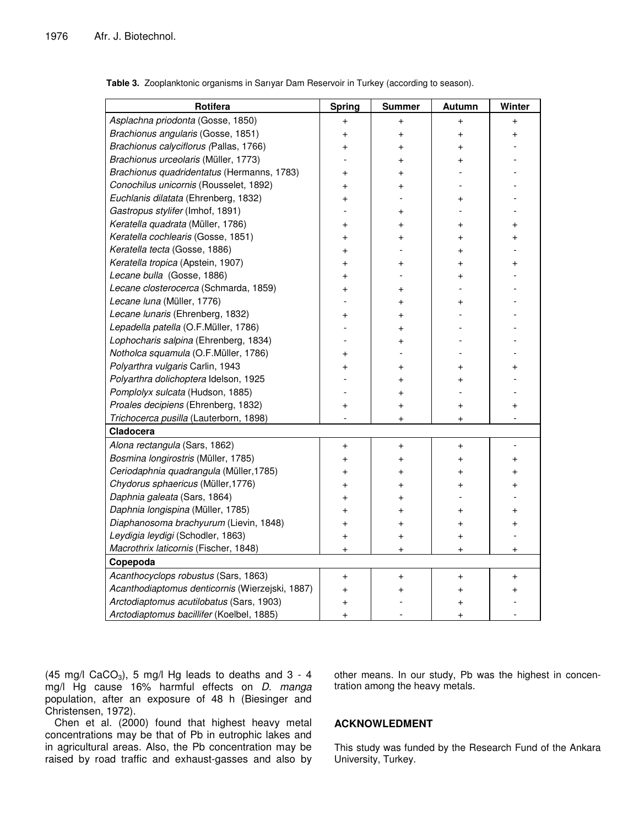| Rotifera                                        | <b>Spring</b>  | <b>Summer</b> | Autumn    | Winter    |  |
|-------------------------------------------------|----------------|---------------|-----------|-----------|--|
| Asplachna priodonta (Gosse, 1850)               | $^{+}$         | $\ddot{}$     | $\ddot{}$ | $^{+}$    |  |
| Brachionus angularis (Gosse, 1851)              | $\ddot{}$      | $\ddot{}$     | $\ddot{}$ | $\pmb{+}$ |  |
| Brachionus calyciflorus (Pallas, 1766)          | $\ddot{}$      | +             | $\ddot{}$ |           |  |
| Brachionus urceolaris (Müller, 1773)            |                | $\ddot{}$     |           |           |  |
| Brachionus quadridentatus (Hermanns, 1783)      | $^{+}$         | +             |           |           |  |
| Conochilus unicornis (Rousselet, 1892)          | $\ddot{}$      | $\pmb{+}$     |           |           |  |
| Euchlanis dilatata (Ehrenberg, 1832)            | $\ddot{}$      |               | $\ddot{}$ |           |  |
| Gastropus stylifer (Imhof, 1891)                |                | $\pmb{+}$     |           |           |  |
| Keratella quadrata (Müller, 1786)               | $\pmb{+}$      | $\pmb{+}$     | $\ddot{}$ | $\pmb{+}$ |  |
| Keratella cochlearis (Gosse, 1851)              | $\ddot{}$      | $\pmb{+}$     | $\ddot{}$ | $\ddot{}$ |  |
| Keratella tecta (Gosse, 1886)                   | $\ddot{}$      |               | $\ddot{}$ |           |  |
| Keratella tropica (Apstein, 1907)               | $\ddot{}$      | $\pmb{+}$     | $\ddot{}$ | $\ddot{}$ |  |
| Lecane bulla (Gosse, 1886)                      | $\ddot{}$      |               | $\ddot{}$ |           |  |
| Lecane closterocerca (Schmarda, 1859)           | $\ddot{}$      | $\ddot{}$     |           |           |  |
| Lecane luna (Müller, 1776)                      |                | +             | $\ddot{}$ |           |  |
| Lecane lunaris (Ehrenberg, 1832)                | $\ddot{}$      | +             |           |           |  |
| Lepadella patella (O.F.Müller, 1786)            |                | +             |           |           |  |
| Lophocharis salpina (Ehrenberg, 1834)           |                | +             |           |           |  |
| Notholca squamula (O.F.Müller, 1786)            | $\ddot{}$      |               |           |           |  |
| Polyarthra vulgaris Carlin, 1943                | $\ddot{}$      | +             | +         | $\pmb{+}$ |  |
| Polyarthra dolichoptera Idelson, 1925           |                | $\mathrm{+}$  | $\pmb{+}$ |           |  |
| Pomplolyx sulcata (Hudson, 1885)                |                | $\pmb{+}$     |           |           |  |
| Proales decipiens (Ehrenberg, 1832)             | $^{+}$         | $\pmb{+}$     | $\pmb{+}$ | $\pmb{+}$ |  |
| Trichocerca pusilla (Lauterborn, 1898)          |                | $\ddot{}$     | $\ddot{}$ |           |  |
| Cladocera                                       |                |               |           |           |  |
| Alona rectangula (Sars, 1862)                   | $\ddot{}$      | $\ddot{}$     | $\ddot{}$ |           |  |
| Bosmina longirostris (Müller, 1785)             | $\ddot{}$      | $^{+}$        | $\ddot{}$ | $\ddot{}$ |  |
| Ceriodaphnia quadrangula (Müller, 1785)         | $\ddot{}$      | $\pmb{+}$     | $\pmb{+}$ | $\pmb{+}$ |  |
| Chydorus sphaericus (Müller, 1776)              | $\ddot{}$      | +             | +         | $\pmb{+}$ |  |
| Daphnia galeata (Sars, 1864)                    | $\overline{+}$ | $\pmb{+}$     |           |           |  |
| Daphnia longispina (Müller, 1785)               | $\ddot{}$      | +             | $\ddot{}$ | $\pmb{+}$ |  |
| Diaphanosoma brachyurum (Lievin, 1848)          | $\ddot{}$      | $\pmb{+}$     | $\pmb{+}$ | $\pmb{+}$ |  |
| Leydigia leydigi (Schodler, 1863)               | $\ddot{}$      | $\ddot{}$     | $\ddot{}$ |           |  |
| Macrothrix laticornis (Fischer, 1848)           | $\ddot{}$      | $\ddot{}$     | $\ddot{}$ | $\ddot{}$ |  |
| Copepoda                                        |                |               |           |           |  |
| Acanthocyclops robustus (Sars, 1863)            | $\ddot{}$      | $^{+}$        | $\ddot{}$ | $\ddot{}$ |  |
| Acanthodiaptomus denticornis (Wierzejski, 1887) | $\ddot{}$      | $\pmb{+}$     | $\pmb{+}$ | $\pmb{+}$ |  |
| Arctodiaptomus acutilobatus (Sars, 1903)        | $\overline{+}$ |               | +         |           |  |
| Arctodiaptomus bacillifer (Koelbel, 1885)       | $\ddot{}$      |               | $\ddot{}$ |           |  |

**Table 3.** Zooplanktonic organisms in Sarıyar Dam Reservoir in Turkey (according to season).

(45 mg/l CaCO<sub>3</sub>), 5 mg/l Hg leads to deaths and  $3 - 4$ mg/l Hg cause 16% harmful effects on *D. manga* population, after an exposure of 48 h (Biesinger and Christensen, 1972).

other means. In our study, Pb was the highest in concentration among the heavy metals.

Chen et al. (2000) found that highest heavy metal concentrations may be that of Pb in eutrophic lakes and in agricultural areas. Also, the Pb concentration may be raised by road traffic and exhaust-gasses and also by

# **ACKNOWLEDMENT**

This study was funded by the Research Fund of the Ankara University, Turkey.